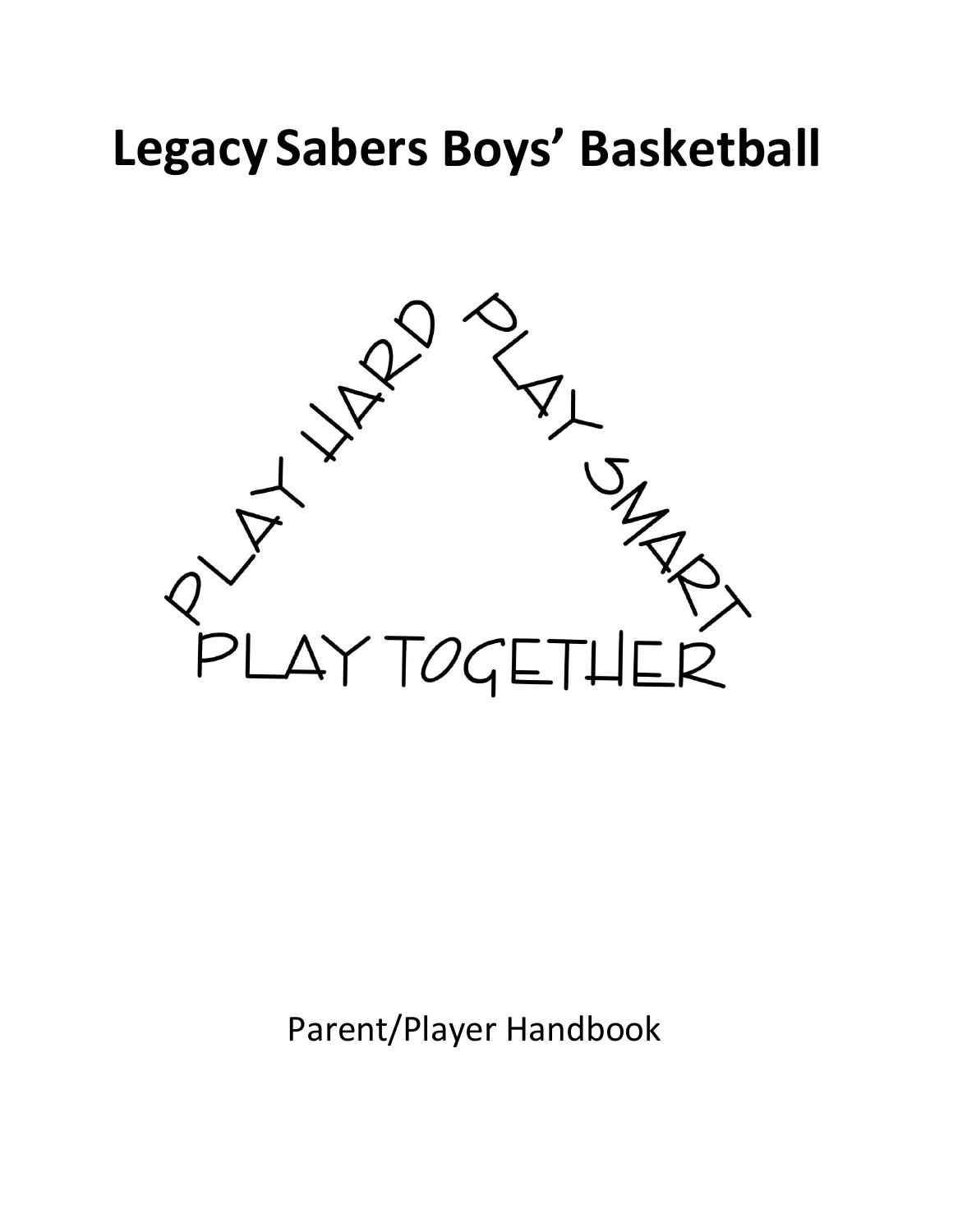# **Legacy Sabers Boys' Basketball**



Parent/Player Handbook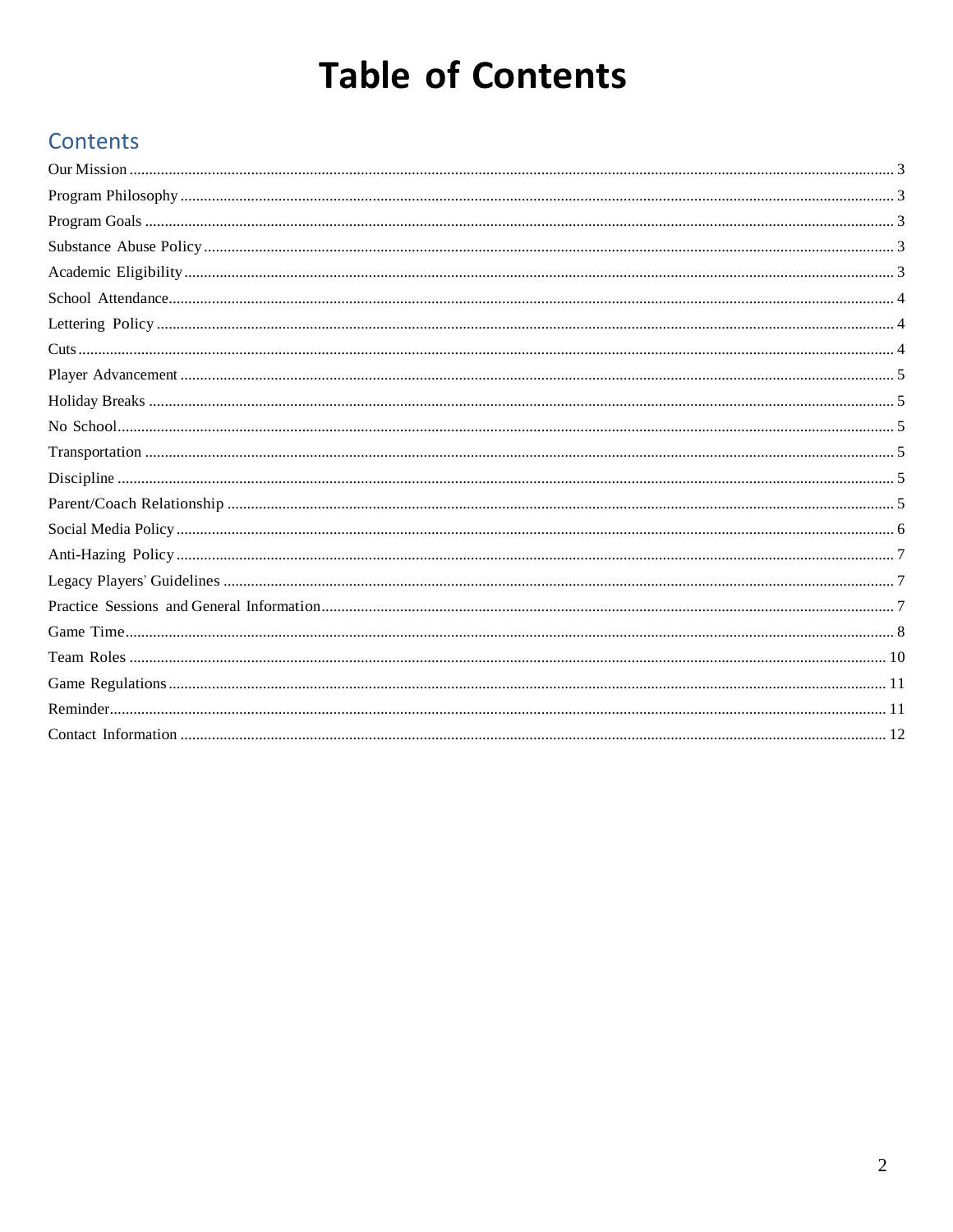## **Table of Contents**

## Contents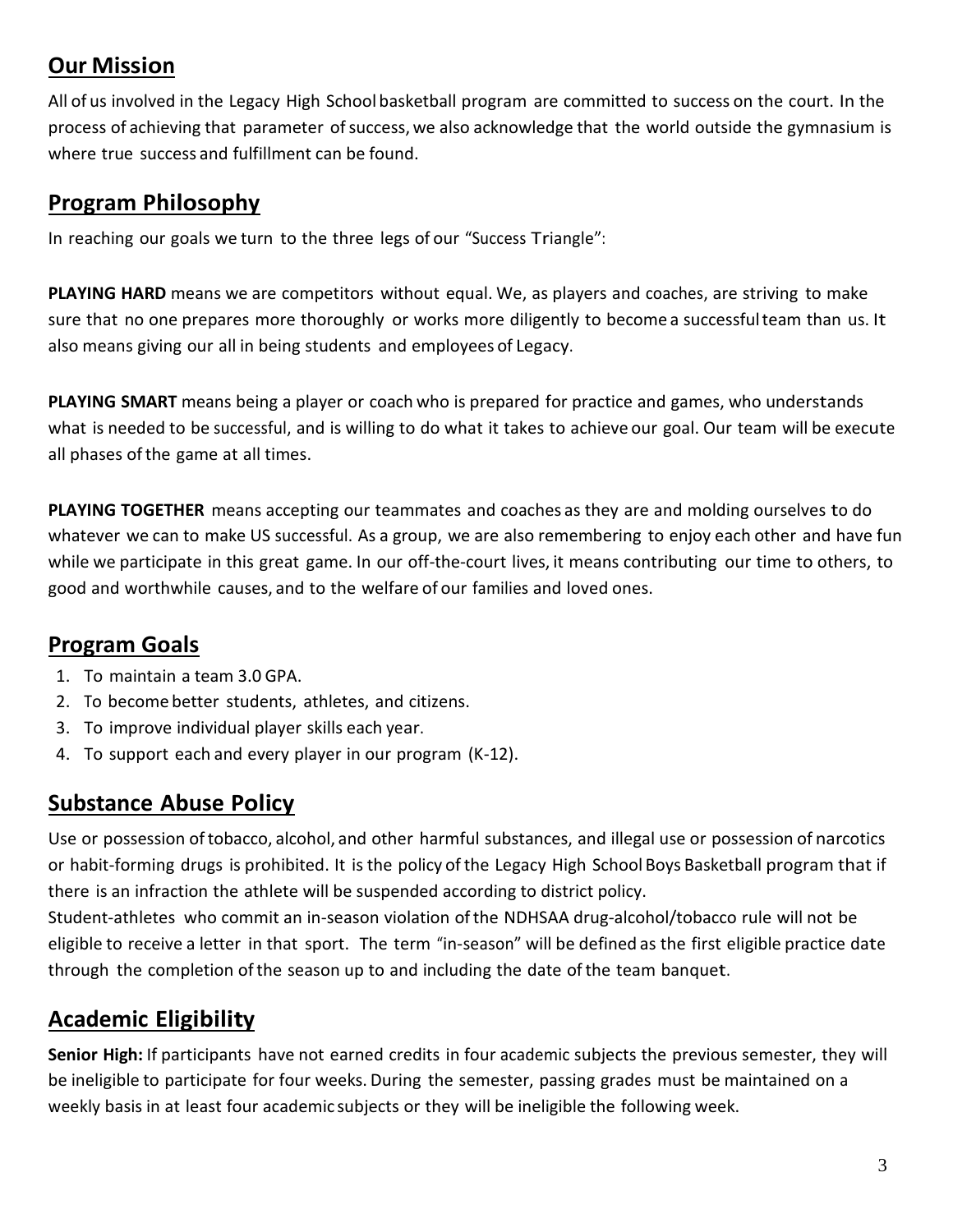## <span id="page-2-0"></span>**Our Mission**

All of us involved in the Legacy High School basketball program are committed to success on the court. In the process of achieving that parameter of success, we also acknowledge that the world outside the gymnasium is where true success and fulfillment can be found.

### <span id="page-2-1"></span>**Program Philosophy**

In reaching our goals we turn to the three legs of our "Success Triangle":

**PLAYING HARD** means we are competitors without equal. We, as players and coaches, are striving to make sure that no one prepares more thoroughly or works more diligently to become a successfulteam than us. It also means giving our all in being students and employees of Legacy.

**PLAYING SMART** means being a player or coach who is prepared for practice and games, who understands what is needed to be successful, and is willing to do what it takes to achieve our goal. Our team will be execute all phases ofthe game at all times.

**PLAYING TOGETHER** means accepting our teammates and coaches as they are and molding ourselves to do whatever we can to make US successful. As a group, we are also remembering to enjoy each other and have fun while we participate in this great game. In our off-the-court lives, it means contributing our time to others, to good and worthwhile causes, and to the welfare of our families and loved ones.

## <span id="page-2-2"></span>**Program Goals**

- 1. To maintain a team 3.0 GPA.
- 2. To become better students, athletes, and citizens.
- 3. To improve individual player skills each year.
- 4. To support each and every player in our program (K-12).

## <span id="page-2-3"></span>**Substance Abuse Policy**

Use or possession oftobacco, alcohol, and other harmful substances, and illegal use or possession of narcotics or habit-forming drugs is prohibited. It is the policy of the Legacy High School Boys Basketball program that if there is an infraction the athlete will be suspended according to district policy.

Student-athletes who commit an in-season violation of the NDHSAA drug-alcohol/tobacco rule will not be eligible to receive a letter in that sport. The term "in-season" will be defined as the first eligible practice date through the completion ofthe season up to and including the date ofthe team banquet.

## <span id="page-2-4"></span>**Academic Eligibility**

**Senior High:** If participants have not earned credits in four academic subjects the previous semester, they will be ineligible to participate for four weeks. During the semester, passing grades must be maintained on a weekly basis in at least four academic subjects or they will be ineligible the following week.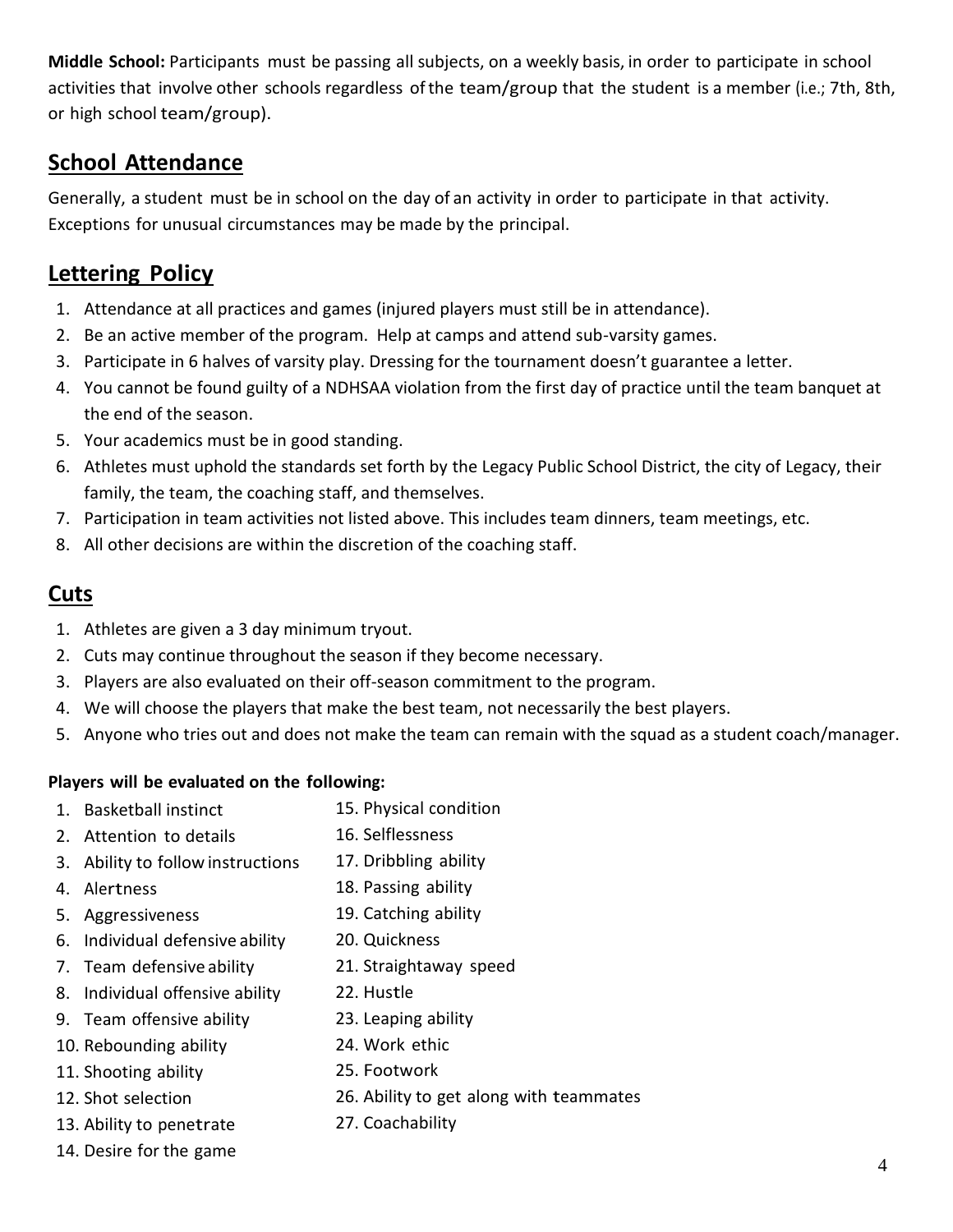**Middle School:** Participants must be passing all subjects, on a weekly basis, in order to participate in school activities that involve other schools regardless of the team/group that the student is a member (i.e.; 7th, 8th, or high school team/group).

#### <span id="page-3-0"></span>**School Attendance**

Generally, a student must be in school on the day of an activity in order to participate in that activity. Exceptions for unusual circumstances may be made by the principal.

#### <span id="page-3-1"></span>**Lettering Policy**

- 1. Attendance at all practices and games (injured players must still be in attendance).
- 2. Be an active member of the program. Help at camps and attend sub-varsity games.
- 3. Participate in 6 halves of varsity play. Dressing for the tournament doesn't guarantee a letter.
- 4. You cannot be found guilty of a NDHSAA violation from the first day of practice until the team banquet at the end of the season.
- 5. Your academics must be in good standing.
- 6. Athletes must uphold the standards set forth by the Legacy Public School District, the city of Legacy, their family, the team, the coaching staff, and themselves.
- 7. Participation in team activities not listed above. This includes team dinners, team meetings, etc.
- 8. All other decisions are within the discretion of the coaching staff.

#### <span id="page-3-2"></span>**Cuts**

- 1. Athletes are given a 3 day minimum tryout.
- 2. Cuts may continue throughout the season if they become necessary.
- 3. Players are also evaluated on their off-season commitment to the program.
- 4. We will choose the players that make the best team, not necessarily the best players.

24. Work ethic 25. Footwork

27. Coachability

5. Anyone who tries out and does not make the team can remain with the squad as a student coach/manager.

26. Ability to get along with teammates

#### **Players will be evaluated on the following:**

- 1. Basketball instinct 15. Physical condition
- 2. Attention to details 16. Selflessness
- 3. Ability to follow instructions 17. Dribbling ability
- 4. Alertness 18. Passing ability
- 5. Aggressiveness 19. Catching ability
- 6. Individual defensive ability 20. Quickness
- 7. Team defensive ability 21. Straightaway speed
- 8. Individual offensive ability 22. Hustle
- 9. Team offensive ability 23. Leaping ability
- 10. Rebounding ability
- 11. Shooting ability
- 12. Shot selection
- 13. Ability to penetrate
- 14. Desire for the game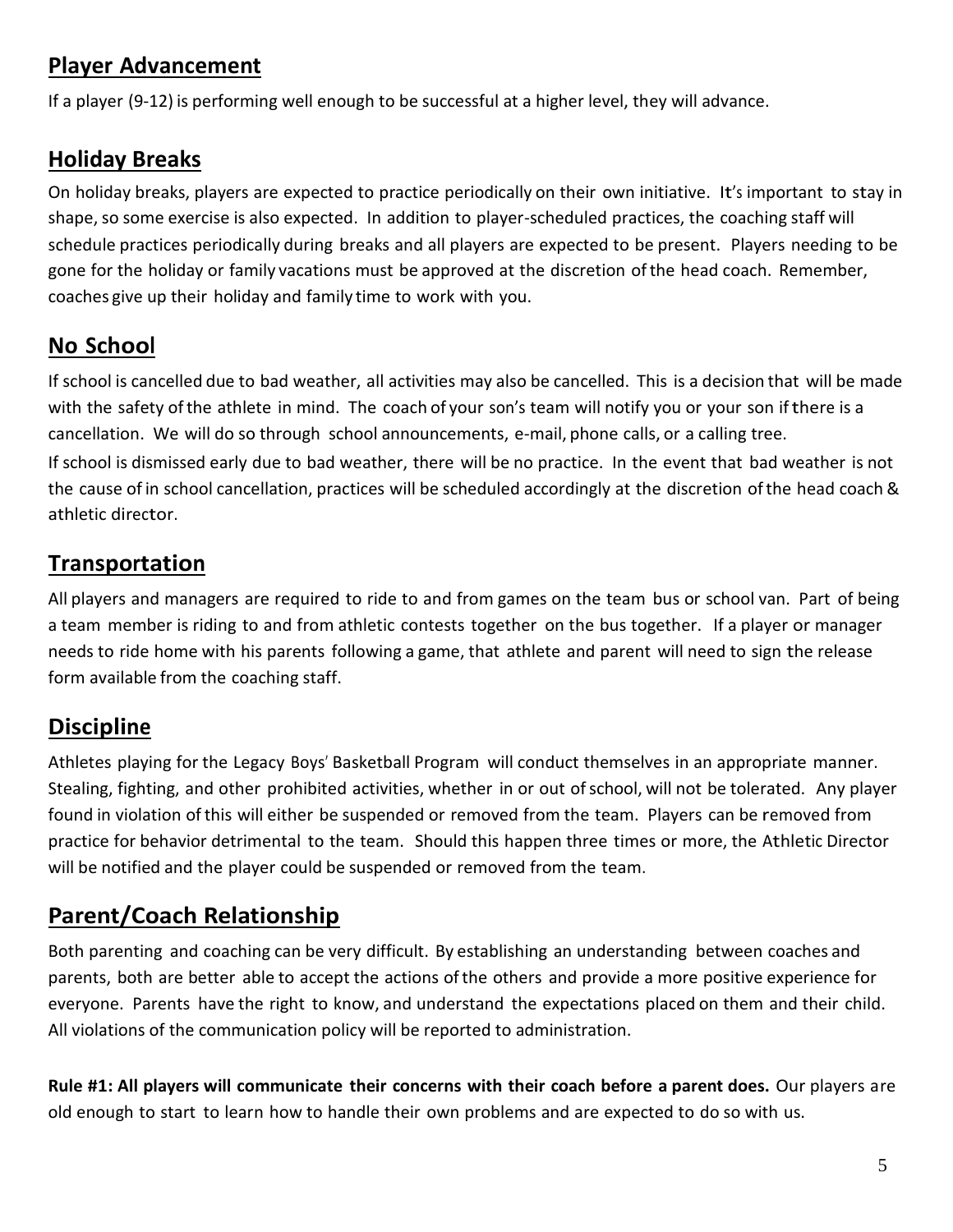## <span id="page-4-0"></span>**Player Advancement**

If a player (9-12) is performing well enough to be successful at a higher level, they will advance.

## <span id="page-4-1"></span>**Holiday Breaks**

On holiday breaks, players are expected to practice periodically on their own initiative. It's important to stay in shape, so some exercise is also expected. In addition to player-scheduled practices, the coaching staff will schedule practices periodically during breaks and all players are expected to be present. Players needing to be gone for the holiday or family vacations must be approved at the discretion ofthe head coach. Remember, coaches give up their holiday and family time to work with you.

## <span id="page-4-2"></span>**No School**

If school is cancelled due to bad weather, all activities may also be cancelled. This is a decision that will be made with the safety ofthe athlete in mind. The coach of your son's team will notify you or your son ifthere is a cancellation. We will do so through school announcements, e-mail, phone calls, or a calling tree. If school is dismissed early due to bad weather, there will be no practice. In the event that bad weather is not the cause of in school cancellation, practices will be scheduled accordingly at the discretion ofthe head coach & athletic director.

## <span id="page-4-3"></span>**Transportation**

All players and managers are required to ride to and from games on the team bus or school van. Part of being a team member is riding to and from athletic contests together on the bus together. If a player or manager needs to ride home with his parents following a game, that athlete and parent will need to sign the release form available from the coaching staff.

## <span id="page-4-4"></span>**Discipline**

Athletes playing for the Legacy Boys' Basketball Program will conduct themselves in an appropriate manner. Stealing, fighting, and other prohibited activities, whether in or out ofschool, will not be tolerated. Any player found in violation ofthis will either be suspended or removed from the team. Players can be removed from practice for behavior detrimental to the team. Should this happen three times or more, the Athletic Director will be notified and the player could be suspended or removed from the team.

## <span id="page-4-5"></span>**Parent/Coach Relationship**

Both parenting and coaching can be very difficult. By establishing an understanding between coaches and parents, both are better able to accept the actions ofthe others and provide a more positive experience for everyone. Parents have the right to know, and understand the expectations placed on them and their child. All violations of the communication policy will be reported to administration.

**Rule #1: All players will communicate their concerns with their coach before a parent does.** Our players are old enough to start to learn how to handle their own problems and are expected to do so with us.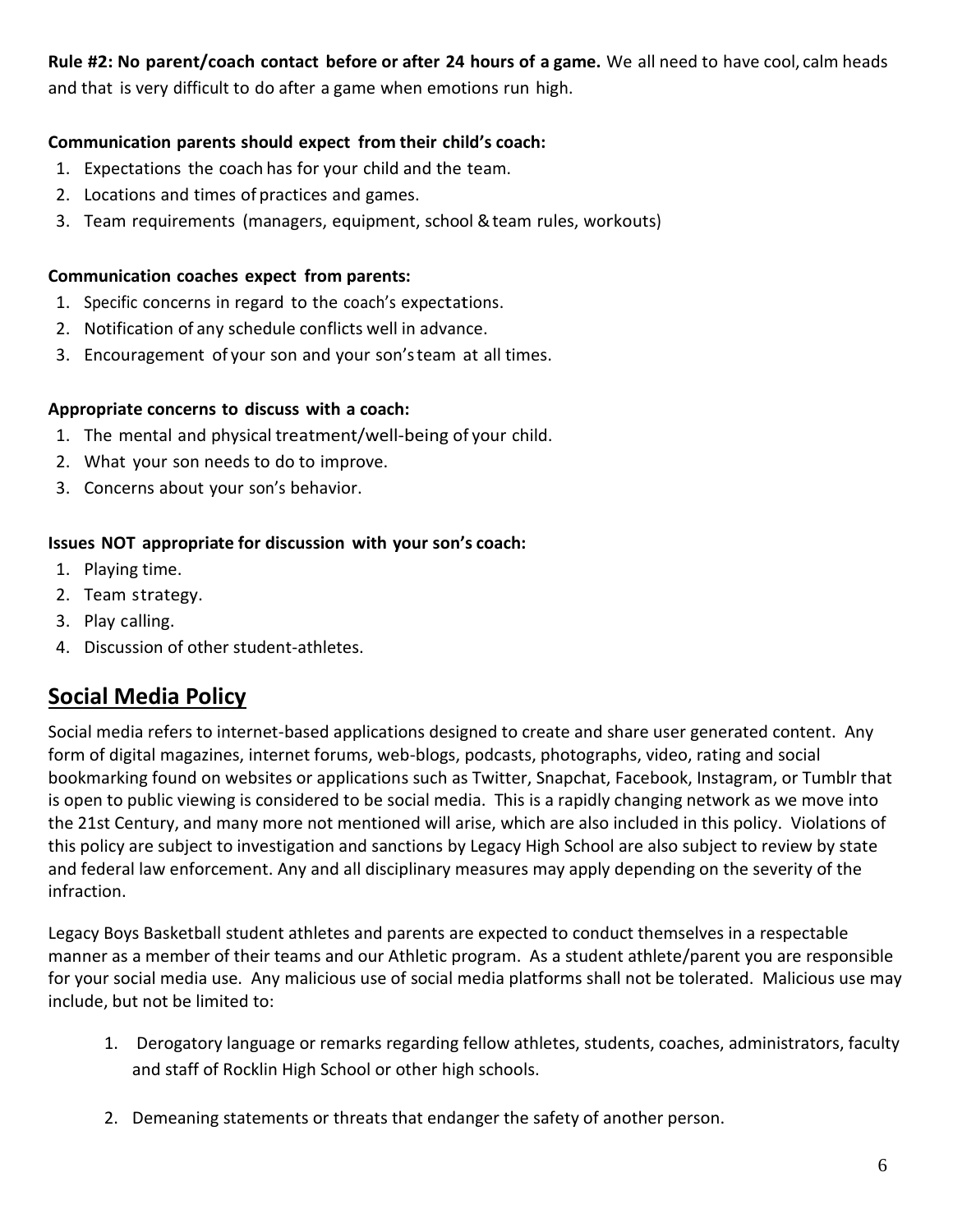#### **Rule #2: No parent/coach contact before or after 24 hours of a game.** We all need to have cool, calm heads and that is very difficult to do after a game when emotions run high.

#### **Communication parents should expect from their child's coach:**

- 1. Expectations the coach has for your child and the team.
- 2. Locations and times of practices and games.
- 3. Team requirements (managers, equipment, school & team rules, workouts)

#### **Communication coaches expect from parents:**

- 1. Specific concerns in regard to the coach's expectations.
- 2. Notification of any schedule conflicts well in advance.
- 3. Encouragement of your son and your son'steam at all times.

#### **Appropriate concerns to discuss with a coach:**

- 1. The mental and physical treatment/well-being of your child.
- 2. What your son needs to do to improve.
- 3. Concerns about your son's behavior.

#### **Issues NOT appropriate for discussion with your son's coach:**

- 1. Playing time.
- 2. Team strategy.
- 3. Play calling.
- 4. Discussion of other student-athletes.

#### <span id="page-5-0"></span>**Social Media Policy**

Social media refers to internet-based applications designed to create and share user generated content. Any form of digital magazines, internet forums, web-blogs, podcasts, photographs, video, rating and social bookmarking found on websites or applications such as Twitter, Snapchat, Facebook, Instagram, or Tumblr that is open to public viewing is considered to be social media. This is a rapidly changing network as we move into the 21st Century, and many more not mentioned will arise, which are also included in this policy. Violations of this policy are subject to investigation and sanctions by Legacy High School are also subject to review by state and federal law enforcement. Any and all disciplinary measures may apply depending on the severity of the infraction.

Legacy Boys Basketball student athletes and parents are expected to conduct themselves in a respectable manner as a member of their teams and our Athletic program. As a student athlete/parent you are responsible for your social media use. Any malicious use of social media platforms shall not be tolerated. Malicious use may include, but not be limited to:

- 1. Derogatory language or remarks regarding fellow athletes, students, coaches, administrators, faculty and staff of Rocklin High School or other high schools.
- 2. Demeaning statements or threats that endanger the safety of another person.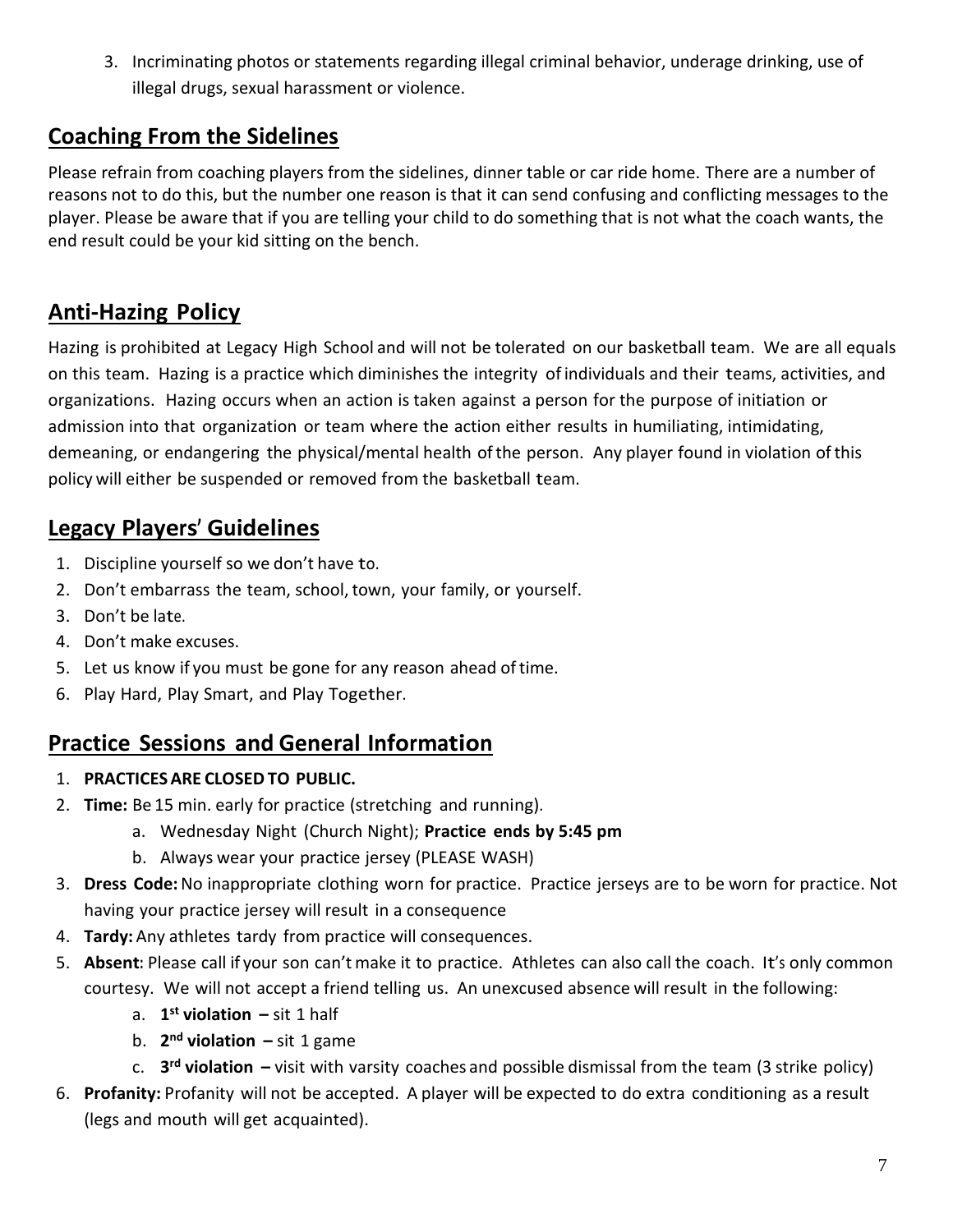3. Incriminating photos or statements regarding illegal criminal behavior, underage drinking, use of illegal drugs, sexual harassment or violence.

#### **Coaching From the Sidelines**

Please refrain from coaching players from the sidelines, dinner table or car ride home. There are a number of reasons not to do this, but the number one reason is that it can send confusing and conflicting messages to the player. Please be aware that if you are telling your child to do something that is not what the coach wants, the end result could be your kid sitting on the bench.

## <span id="page-6-0"></span>**Anti-Hazing Policy**

Hazing is prohibited at Legacy High School and will not be tolerated on our basketball team. We are all equals on this team. Hazing is a practice which diminishes the integrity of individuals and their teams, activities, and organizations. Hazing occurs when an action is taken against a person for the purpose of initiation or admission into that organization or team where the action either results in humiliating, intimidating, demeaning, or endangering the physical/mental health of the person. Any player found in violation of this policy will either be suspended or removed from the basketball team.

### <span id="page-6-1"></span>**Legacy Players' Guidelines**

- 1. Discipline yourself so we don't have to.
- 2. Don't embarrass the team, school, town, your family, or yourself.
- 3. Don't be late.
- 4. Don't make excuses.
- 5. Let us know if you must be gone for any reason ahead oftime.
- 6. Play Hard, Play Smart, and Play Together.

#### <span id="page-6-2"></span>**Practice Sessions and General Information**

- 1. **PRACTICESARE CLOSED TO PUBLIC.**
- 2. **Time:** Be 15 min. early for practice (stretching and running).
	- a. Wednesday Night (Church Night); **Practice ends by 5:45 pm**
	- b. Always wear your practice jersey (PLEASE WASH)
- 3. **Dress Code:**No inappropriate clothing worn for practice. Practice jerseys are to be worn for practice. Not having your practice jersey will result in a consequence
- 4. **Tardy:** Any athletes tardy from practice will consequences.
- 5. **Absent:** Please call if your son can't make it to practice. Athletes can also call the coach. It's only common courtesy. We will not accept a friend telling us. An unexcused absence will result in the following:
	- a. **1 st violation –** sit 1 half
	- b. **2 nd violation –** sit 1 game
	- c. **3 rd violation –** visit with varsity coaches and possible dismissal from the team (3 strike policy)
- 6. **Profanity:** Profanity will not be accepted. A player will be expected to do extra conditioning as a result (legs and mouth will get acquainted).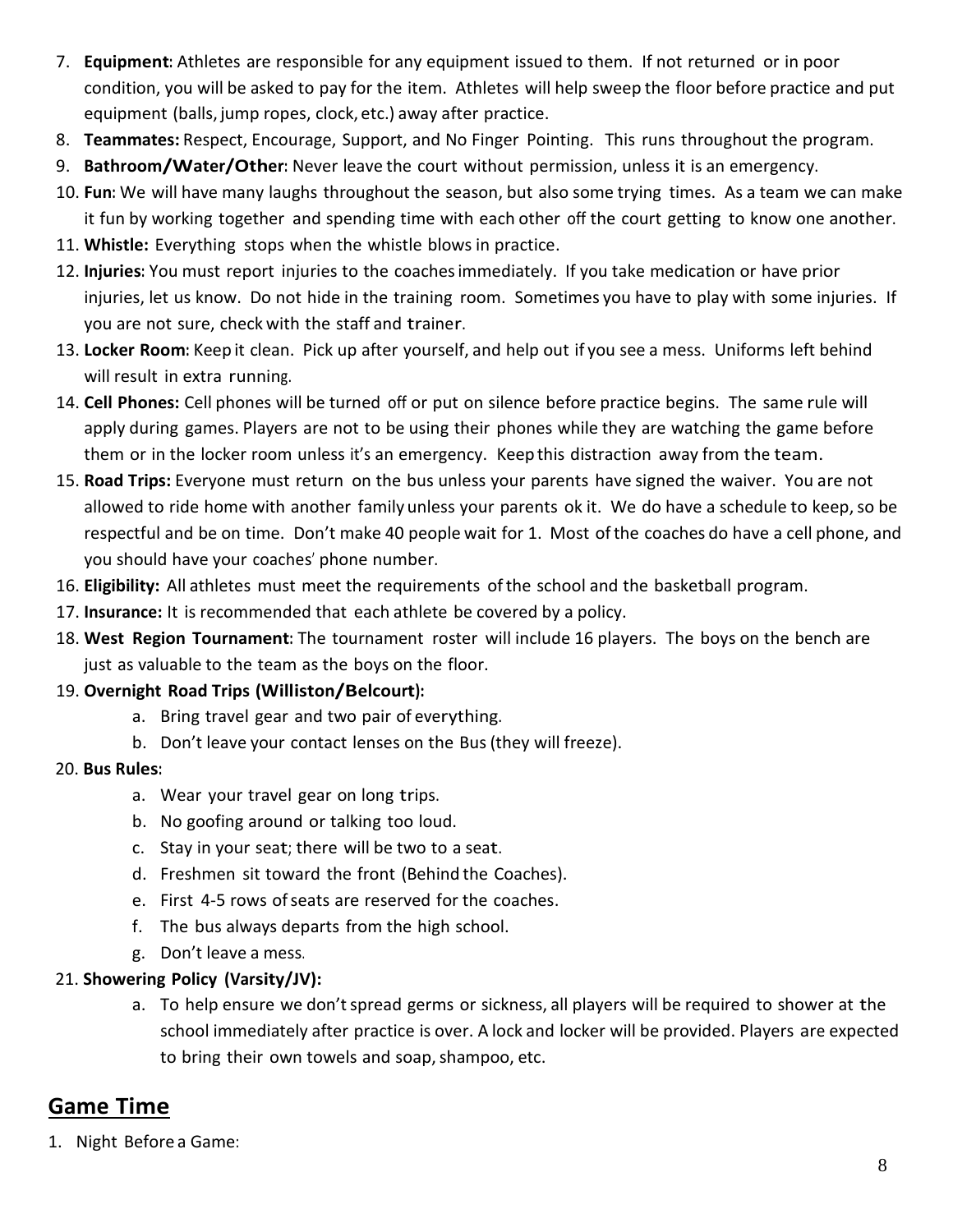- 7. **Equipment:** Athletes are responsible for any equipment issued to them. If not returned or in poor condition, you will be asked to pay for the item. Athletes will help sweep the floor before practice and put equipment (balls, jump ropes, clock, etc.) away after practice.
- 8. **Teammates:** Respect, Encourage, Support, and No Finger Pointing. This runs throughout the program.
- 9. **Bathroom/Water/Other:** Never leave the court without permission, unless it is an emergency.
- 10. **Fun:** We will have many laughs throughout the season, but also some trying times. As a team we can make it fun by working together and spending time with each other off the court getting to know one another.
- 11. **Whistle:** Everything stops when the whistle blows in practice.
- 12. **Injuries:** You must report injuries to the coachesimmediately. If you take medication or have prior injuries, let us know. Do not hide in the training room. Sometimes you have to play with some injuries. If you are not sure, check with the staff and trainer.
- 13. **Locker Room:** Keep it clean. Pick up after yourself, and help out if you see a mess. Uniforms left behind will result in extra running.
- 14. **Cell Phones:** Cell phones will be turned off or put on silence before practice begins. The same rule will apply during games. Players are not to be using their phones while they are watching the game before them or in the locker room unless it's an emergency. Keep this distraction away from the team.
- 15. **Road Trips:** Everyone must return on the bus unless your parents have signed the waiver. You are not allowed to ride home with another family unless your parents ok it. We do have a schedule to keep, so be respectful and be on time. Don't make 40 people wait for 1. Most ofthe coaches do have a cell phone, and you should have your coaches' phone number.
- 16. **Eligibility:** All athletes must meet the requirements ofthe school and the basketball program.
- 17. **Insurance:** It is recommended that each athlete be covered by a policy.
- 18. **West Region Tournament:** The tournament roster will include 16 players. The boys on the bench are just as valuable to the team as the boys on the floor.

#### 19. **Overnight Road Trips (Williston/Belcourt):**

- a. Bring travel gear and two pair of everything.
- b. Don't leave your contact lenses on the Bus(they will freeze).

#### 20. **Bus Rules:**

- a. Wear your travel gear on long trips.
- b. No goofing around or talking too loud.
- c. Stay in your seat; there will be two to a seat.
- d. Freshmen sit toward the front (Behind the Coaches).
- e. First 4-5 rows ofseats are reserved for the coaches.
- f. The bus always departs from the high school.
- g. Don't leave a mess.

#### 21. **Showering Policy (Varsity/JV):**

a. To help ensure we don't spread germs or sickness, all players will be required to shower at the school immediately after practice is over. A lock and locker will be provided. Players are expected to bring their own towels and soap, shampoo, etc.

### <span id="page-7-0"></span>**Game Time**

1. Night Before a Game: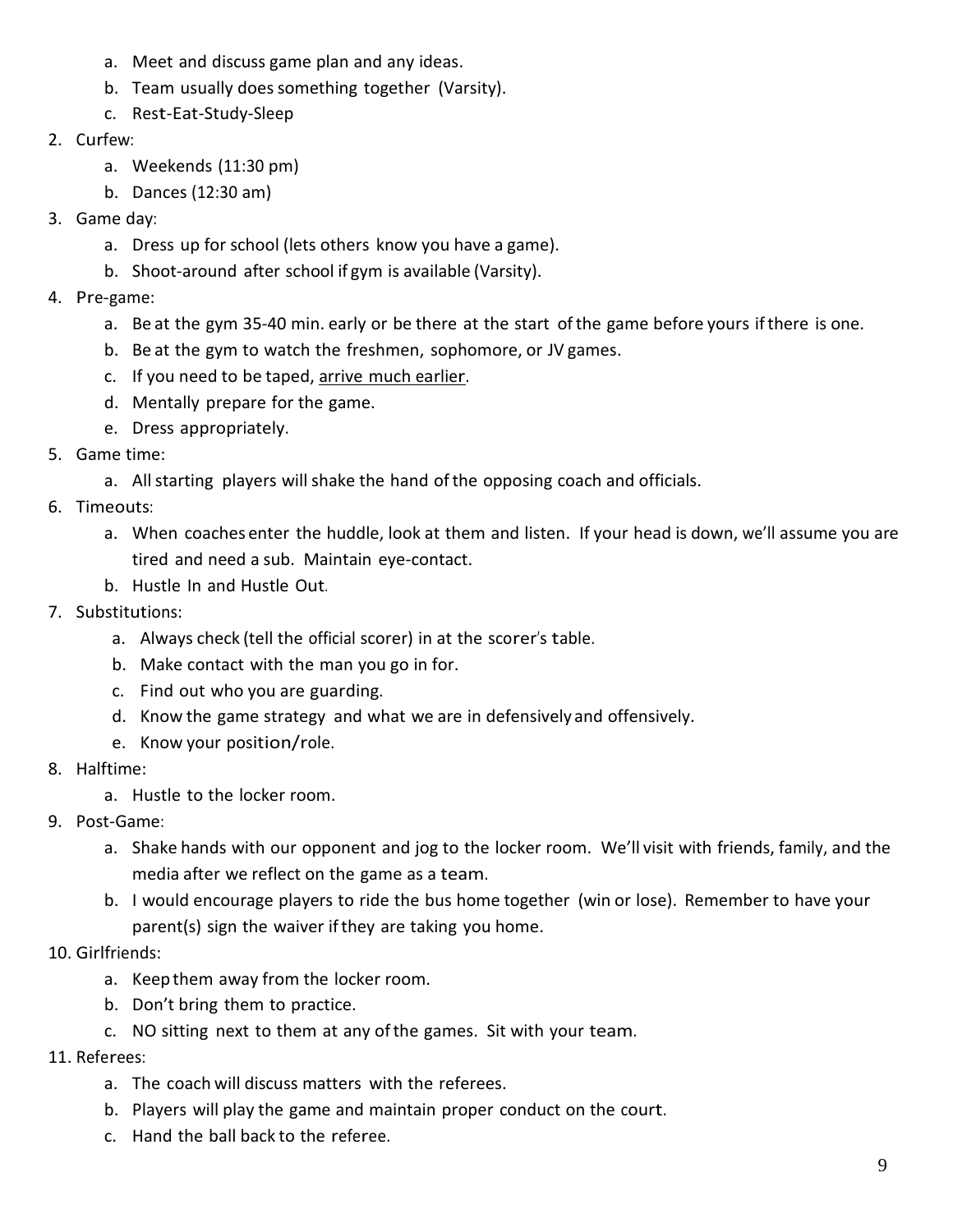- a. Meet and discuss game plan and any ideas.
- b. Team usually does something together (Varsity).
- c. Rest-Eat-Study-Sleep
- 2. Curfew:
	- a. Weekends (11:30 pm)
	- b. Dances (12:30 am)
- 3. Game day:
	- a. Dress up for school (lets others know you have a game).
	- b. Shoot-around after school if gym is available (Varsity).
- 4. Pre-game:
	- a. Be at the gym 35-40 min. early or be there at the start ofthe game before yours ifthere is one.
	- b. Be at the gym to watch the freshmen, sophomore, or JV games.
	- c. If you need to be taped, arrive much earlier.
	- d. Mentally prepare for the game.
	- e. Dress appropriately.
- 5. Game time:
	- a. Allstarting players will shake the hand ofthe opposing coach and officials.
- 6. Timeouts:
	- a. When coaches enter the huddle, look at them and listen. If your head is down, we'll assume you are tired and need a sub. Maintain eye-contact.
	- b. Hustle In and Hustle Out.
- 7. Substitutions:
	- a. Always check (tell the official scorer) in at the scorer's table.
	- b. Make contact with the man you go in for.
	- c. Find out who you are guarding.
	- d. Know the game strategy and what we are in defensively and offensively.
	- e. Know your position/role.
- 8. Halftime:
	- a. Hustle to the locker room.
- 9. Post-Game:
	- a. Shake hands with our opponent and jog to the locker room. We'll visit with friends, family, and the media after we reflect on the game as a team.
	- b. I would encourage players to ride the bus home together (win or lose). Remember to have your parent(s) sign the waiver ifthey are taking you home.
- 10. Girlfriends:
	- a. Keep them away from the locker room.
	- b. Don't bring them to practice.
	- c. NO sitting next to them at any ofthe games. Sit with your team.
- 11. Referees:
	- a. The coach will discuss matters with the referees.
	- b. Players will play the game and maintain proper conduct on the court.
	- c. Hand the ball back to the referee.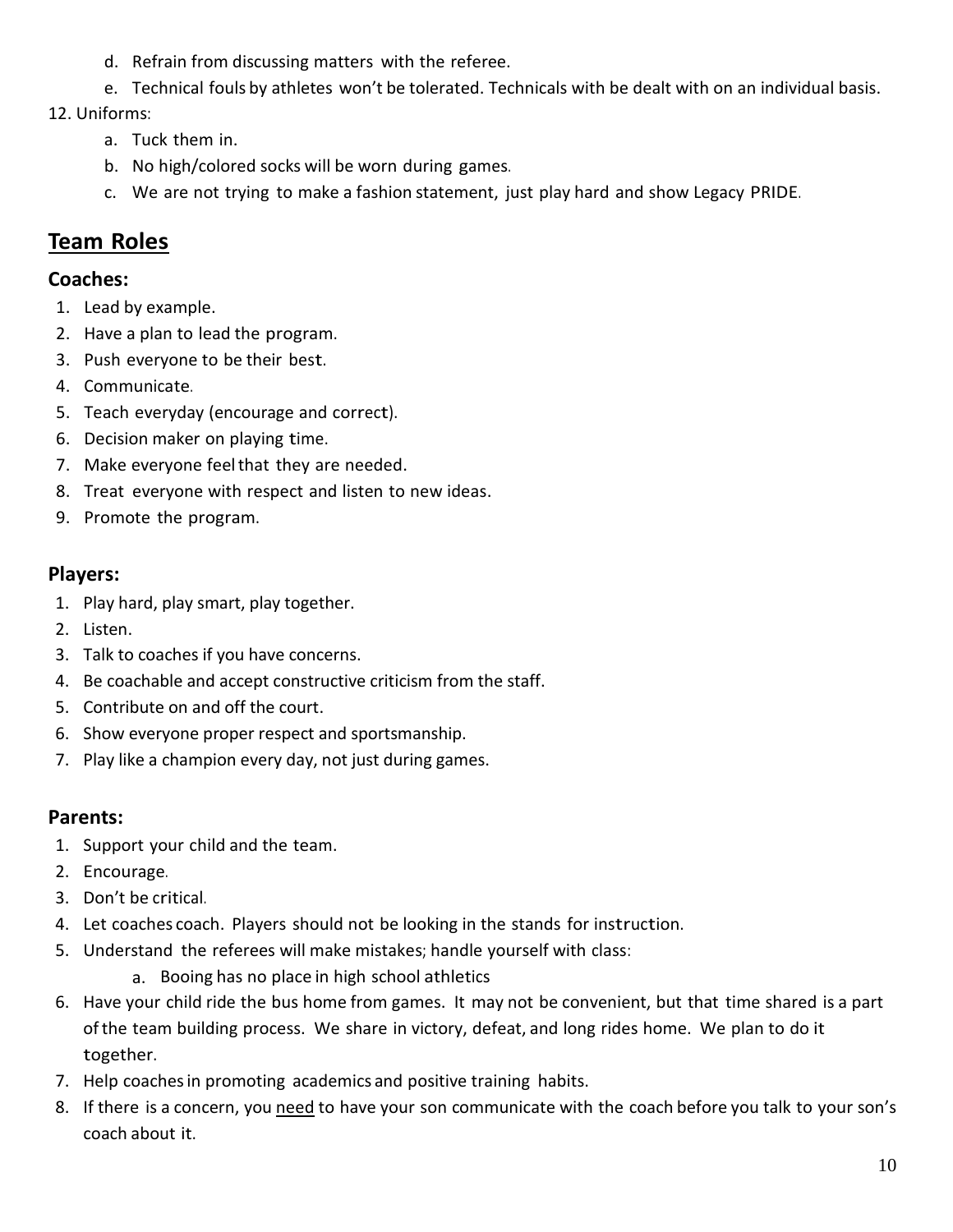- d. Refrain from discussing matters with the referee.
- e. Technical fouls by athletes won't be tolerated. Technicals with be dealt with on an individual basis.

12. Uniforms:

- a. Tuck them in.
- b. No high/colored socks will be worn during games.
- c. We are not trying to make a fashion statement, just play hard and show Legacy PRIDE.

## <span id="page-9-0"></span>**Team Roles**

#### **Coaches:**

- 1. Lead by example.
- 2. Have a plan to lead the program.
- 3. Push everyone to be their best.
- 4. Communicate.
- 5. Teach everyday (encourage and correct).
- 6. Decision maker on playing time.
- 7. Make everyone feelthat they are needed.
- 8. Treat everyone with respect and listen to new ideas.
- 9. Promote the program.

#### **Players:**

- 1. Play hard, play smart, play together.
- 2. Listen.
- 3. Talk to coaches if you have concerns.
- 4. Be coachable and accept constructive criticism from the staff.
- 5. Contribute on and off the court.
- 6. Show everyone proper respect and sportsmanship.
- 7. Play like a champion every day, not just during games.

#### **Parents:**

- 1. Support your child and the team.
- 2. Encourage.
- 3. Don't be critical.
- 4. Let coaches coach. Players should not be looking in the stands for instruction.
- 5. Understand the referees will make mistakes; handle yourself with class:
	- a. Booing has no place in high school athletics
- 6. Have your child ride the bus home from games. It may not be convenient, but that time shared is a part ofthe team building process. We share in victory, defeat, and long rides home. We plan to do it together.
- 7. Help coachesin promoting academics and positive training habits.
- 8. If there is a concern, you need to have your son communicate with the coach before you talk to your son's coach about it.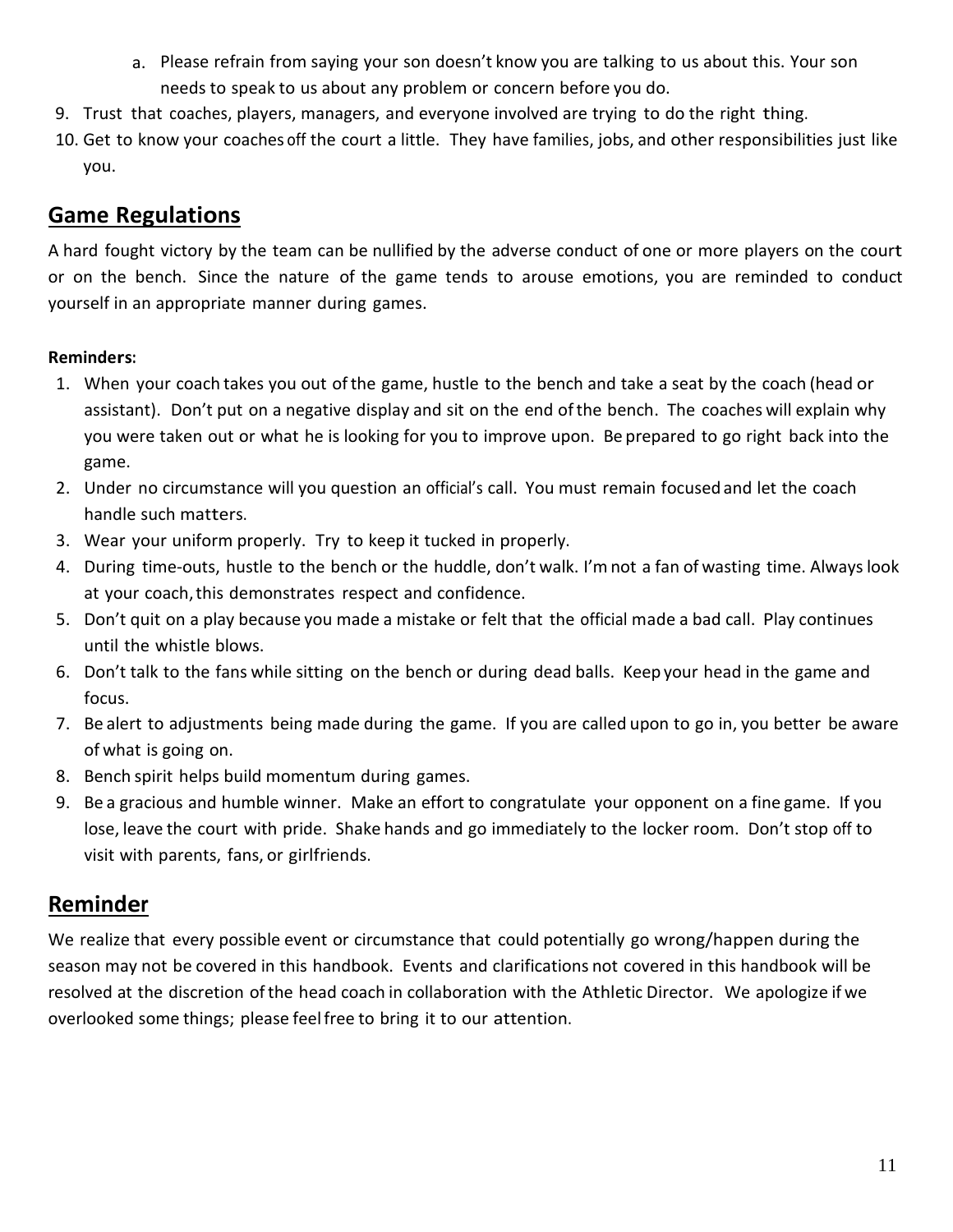- a. Please refrain from saying your son doesn't know you are talking to us about this. Your son needs to speak to us about any problem or concern before you do.
- 9. Trust that coaches, players, managers, and everyone involved are trying to do the right thing.
- 10. Get to know your coaches off the court a little. They have families, jobs, and other responsibilities just like you.

#### <span id="page-10-0"></span>**Game Regulations**

A hard fought victory by the team can be nullified by the adverse conduct of one or more players on the court or on the bench. Since the nature of the game tends to arouse emotions, you are reminded to conduct yourself in an appropriate manner during games.

#### **Reminders:**

- 1. When your coach takes you out ofthe game, hustle to the bench and take a seat by the coach (head or assistant). Don't put on a negative display and sit on the end ofthe bench. The coaches will explain why you were taken out or what he is looking for you to improve upon. Be prepared to go right back into the game.
- 2. Under no circumstance will you question an official's call. You must remain focused and let the coach handle such matters.
- 3. Wear your uniform properly. Try to keep it tucked in properly.
- 4. During time-outs, hustle to the bench or the huddle, don't walk. I'mnot a fan of wasting time. Alwayslook at your coach, this demonstrates respect and confidence.
- 5. Don't quit on a play because you made a mistake or felt that the official made a bad call. Play continues until the whistle blows.
- 6. Don't talk to the fans while sitting on the bench or during dead balls. Keep your head in the game and focus.
- 7. Be alert to adjustments being made during the game. If you are called upon to go in, you better be aware of what is going on.
- 8. Bench spirit helps build momentum during games.
- 9. Be a gracious and humble winner. Make an effort to congratulate your opponent on a fine game. If you lose, leave the court with pride. Shake hands and go immediately to the locker room. Don't stop off to visit with parents, fans, or girlfriends.

### <span id="page-10-1"></span>**Reminder**

We realize that every possible event or circumstance that could potentially go wrong/happen during the season may not be covered in this handbook. Events and clarifications not covered in this handbook will be resolved at the discretion ofthe head coach in collaboration with the Athletic Director. We apologize if we overlooked some things; please feelfree to bring it to our attention.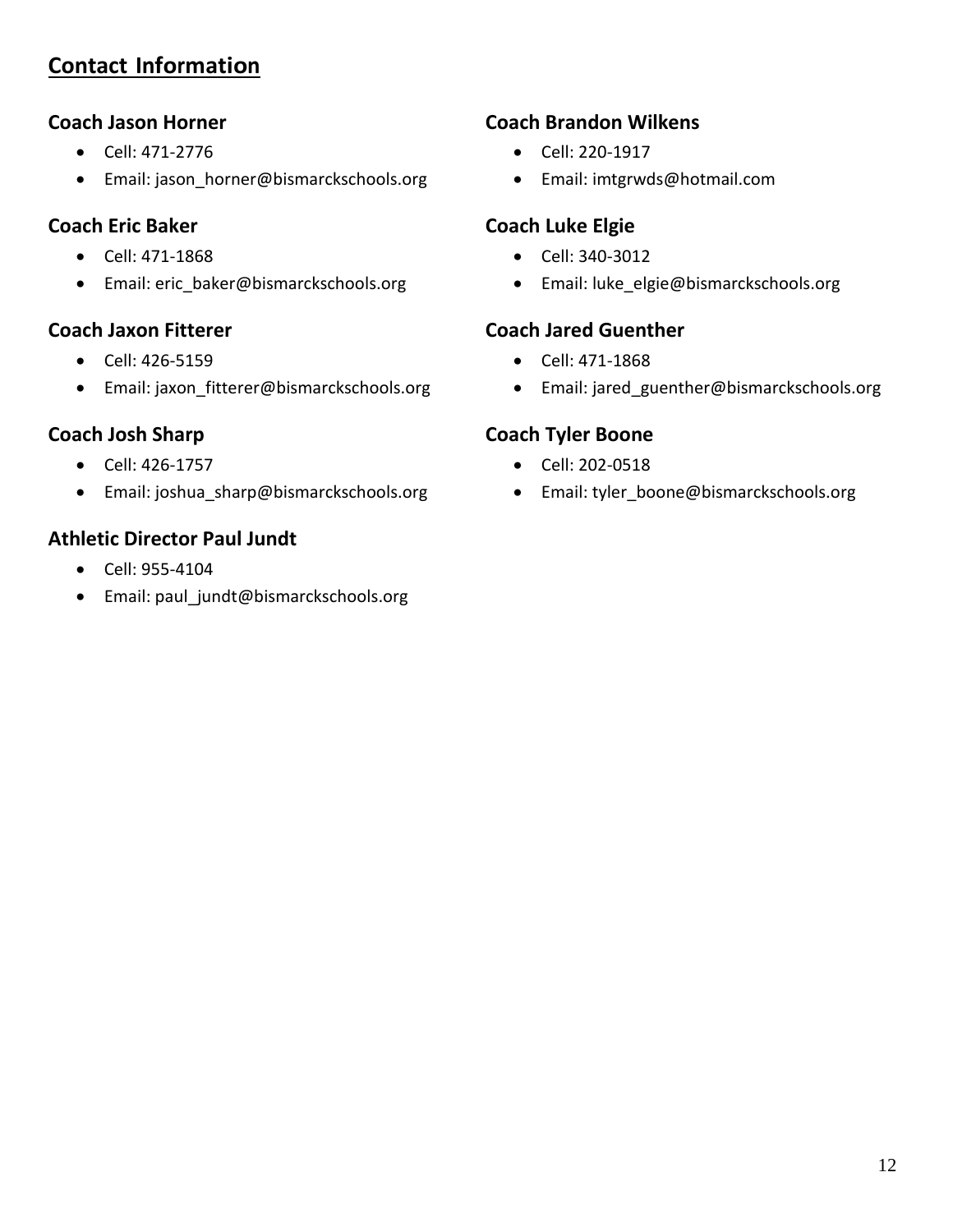## <span id="page-11-0"></span>**Contact Information**

#### **Coach Jason Horner**

- Cell: 471-2776
- Email: jason\_horner@bismarckschools.org

#### **Coach Eric Baker**

- Cell: 471-1868
- Email: [eric\\_baker@bismarckschools.org](mailto:eric_baker@bismarckschools.org)

#### **Coach Jaxon Fitterer**

- Cell: 426-5159
- Email: jaxon\_fitterer@bismarckschools.org

#### **Coach Josh Sharp**

- Cell: 426-1757
- Email: joshua sharp@bismarckschools.org

#### **Athletic Director Paul Jundt**

- Cell: 955-4104
- Email: paul\_jundt@bismarckschools.org

#### **Coach Brandon Wilkens**

- Cell: 220-1917
- Email: [imtgrwds@hotmail.com](mailto:imtgrwds@hotmail.com)

#### **Coach Luke Elgie**

- Cell: 340-3012
- Email: luke\_elgie@bismarckschools.org

#### **Coach Jared Guenther**

- Cell: 471-1868
- Email: jared\_guenther@bismarckschools.org

#### **Coach Tyler Boone**

- Cell: 202-0518
- Email: tyler\_boone@bismarckschools.org